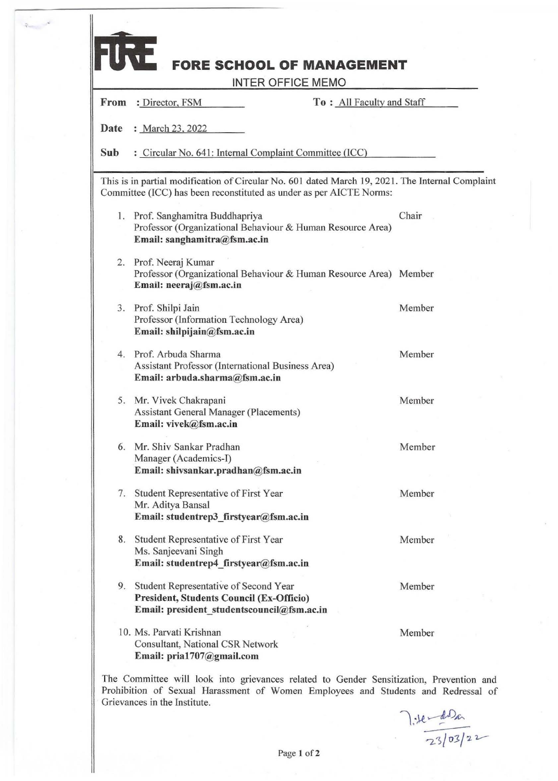| From | : Director, FSM                                                                                                                                                         | To: All Faculty and Staff |        |
|------|-------------------------------------------------------------------------------------------------------------------------------------------------------------------------|---------------------------|--------|
|      |                                                                                                                                                                         |                           |        |
| Date | : March 23, 2022                                                                                                                                                        |                           |        |
| Sub  | : Circular No. 641: Internal Complaint Committee (ICC)                                                                                                                  |                           |        |
|      | This is in partial modification of Circular No. 601 dated March 19, 2021. The Internal Complaint<br>Committee (ICC) has been reconstituted as under as per AICTE Norms: |                           |        |
|      | 1. Prof. Sanghamitra Buddhapriya<br>Professor (Organizational Behaviour & Human Resource Area)<br>Email: sanghamitra@fsm.ac.in                                          |                           | Chair  |
|      | 2. Prof. Neeraj Kumar<br>Professor (Organizational Behaviour & Human Resource Area) Member<br>Email: neeraj@fsm.ac.in                                                   |                           |        |
|      | 3. Prof. Shilpi Jain<br>Professor (Information Technology Area)<br>Email: shilpijain@fsm.ac.in                                                                          |                           | Member |
|      | 4. Prof. Arbuda Sharma<br>Assistant Professor (International Business Area)<br>Email: arbuda.sharma@fsm.ac.in                                                           |                           | Member |
|      | 5. Mr. Vivek Chakrapani<br><b>Assistant General Manager (Placements)</b><br>Email: vivek@fsm.ac.in                                                                      |                           | Member |
|      | 6. Mr. Shiv Sankar Pradhan<br>Manager (Academics-I)<br>Email: shivsankar.pradhan@fsm.ac.in                                                                              |                           | Member |
|      | 7. Student Representative of First Year<br>Mr. Aditya Bansal<br>Email: studentrep3 firstyear@fsm.ac.in                                                                  |                           | Member |
|      | 8. Student Representative of First Year<br>Ms. Sanjeevani Singh<br>Email: studentrep4_firstyear@fsm.ac.in                                                               |                           | Member |
|      | 9. Student Representative of Second Year<br><b>President, Students Council (Ex-Officio)</b><br>Email: president studentscouncil@fsm.ac.in                               |                           | Member |
|      | 10. Ms. Parvati Krishnan<br>Consultant, National CSR Network<br>Email: pria1707@gmail.com                                                                               |                           | Member |

×

The Committee will look into grievances related to Gender Sensitization, Prevention and Prohibition of Sexual Harassment of Women Employees and Students and Redressal of Grievances in the Institute.

l: te-desa  $\frac{1}{2302}/22$